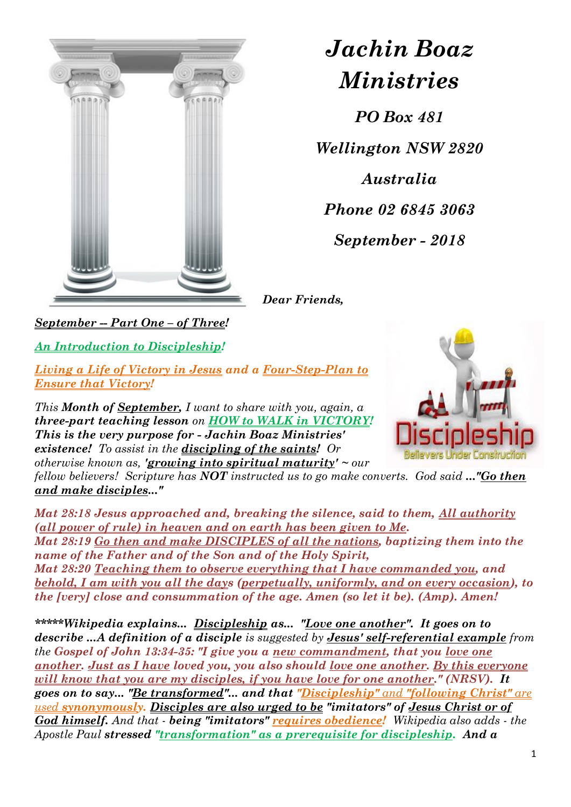

## *Jachin Boaz Ministries*

*PO Box 481 Wellington NSW 2820 Australia Phone 02 6845 3063 September - 2018*

*Dear Friends,*

*September -- Part One – of Three!*

*An Introduction to Discipleship!*

*Living a Life of Victory in Jesus and a Four-Step-Plan to Ensure that Victory!*

*This Month of September, I want to share with you, again, a three-part teaching lesson on HOW to WALK in VICTORY! This is the very purpose for - Jachin Boaz Ministries' existence! To assist in the discipling of the saints! Or otherwise known as, 'growing into spiritual maturity' ~ our* 



*fellow believers! Scripture has NOT instructed us to go make converts. God said ..."Go then and make disciples..."*

*Mat 28:18 Jesus approached and, breaking the silence, said to them, All authority (all power of rule) in heaven and on earth has been given to Me. Mat 28:19 Go then and make DISCIPLES of all the nations, baptizing them into the name of the Father and of the Son and of the Holy Spirit, Mat 28:20 Teaching them to observe everything that I have commanded you, and behold, I am with you all the days (perpetually, uniformly, and on every occasion), to the [very] close and consummation of the age. Amen (so let it be). (Amp). Amen!*

*\*\*\*\*\*Wikipedia explains... Discipleship as... "Love one another". It goes on to describe ...A definition of a disciple is suggested by Jesus' self-referential example from the Gospel of John 13:34-35: "I give you a new commandment, that you love one another. Just as I have loved you, you also should love one another. By this everyone will know that you are my disciples, if you have love for one another." (NRSV). It goes on to say... "Be transformed"... and that "Discipleship" and "following Christ" are used synonymously. Disciples are also urged to be "imitators" of Jesus Christ or of God himself. And that - being "imitators" requires obedience! Wikipedia also adds - the Apostle Paul stressed "transformation" as a prerequisite for discipleship. And a*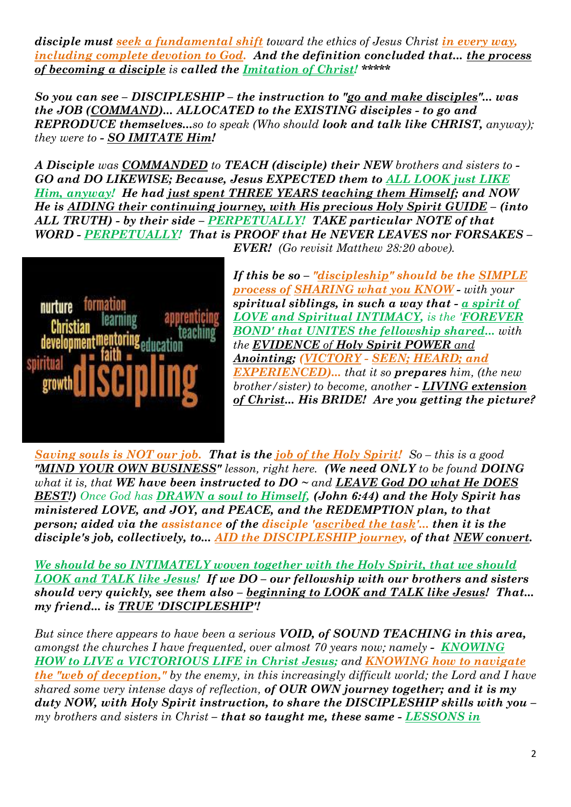*disciple must seek a [fundamental shift](https://en.wikipedia.org/wiki/Metanoia_%28theology%29#Metanoia_today) toward the ethics of Jesus Christ in every way, including complete devotion to God.* And the definition concluded that... the process *of becoming a disciple is called the Imitation of Christ! \*\*\*\*\**

*So you can see – DISCIPLESHIP – the instruction to "go and make disciples"... was the JOB (COMMAND)... ALLOCATED to the EXISTING disciples - to go and REPRODUCE themselves...so to speak (Who should look and talk like CHRIST, anyway); they were to - SO IMITATE Him!*

*A Disciple was COMMANDED to TEACH (disciple) their NEW brothers and sisters to - GO and DO LIKEWISE; Because, Jesus EXPECTED them to ALL LOOK just LIKE Him, anyway! He had just spent THREE YEARS teaching them Himself; and NOW He is AIDING their continuing journey, with His precious Holy Spirit GUIDE – (into ALL TRUTH) - by their side – PERPETUALLY! TAKE particular NOTE of that WORD - PERPETUALLY! That is PROOF that He NEVER LEAVES nor FORSAKES – EVER! (Go revisit Matthew 28:20 above).*



*If this be so – "discipleship" should be the SIMPLE process of SHARING what you KNOW - with your spiritual siblings, in such a way that - a spirit of LOVE and Spiritual INTIMACY, is the 'FOREVER BOND' that UNITES the fellowship shared... with the EVIDENCE of Holy Spirit POWER and Anointing; (VICTORY - SEEN; HEARD; and EXPERIENCED)... that it so prepares him, (the new brother/sister) to become, another - LIVING extension of Christ... His BRIDE! Are you getting the picture?*

*Saving souls is NOT our job. That is the job of the Holy Spirit! So – this is a good "MIND YOUR OWN BUSINESS" lesson, right here. (We need ONLY to be found DOING what it is, that WE have been instructed to DO ~ and LEAVE God DO what He DOES BEST!) Once God has DRAWN a soul to Himself, (John 6:44) and the Holy Spirit has ministered LOVE, and JOY, and PEACE, and the REDEMPTION plan, to that person; aided via the assistance of the disciple 'ascribed the task'... then it is the disciple's job, collectively, to... AID the DISCIPLESHIP journey, of that NEW convert.* 

*We should be so INTIMATELY woven together with the Holy Spirit, that we should LOOK and TALK like Jesus! If we DO – our fellowship with our brothers and sisters should very quickly, see them also – beginning to LOOK and TALK like Jesus! That... my friend... is TRUE 'DISCIPLESHIP'!*

*But since there appears to have been a serious VOID, of SOUND TEACHING in this area, amongst the churches I have frequented, over almost 70 years now; namely - KNOWING HOW to LIVE a VICTORIOUS LIFE in Christ Jesus; and KNOWING how to navigate the "web of deception," by the enemy, in this increasingly difficult world; the Lord and I have shared some very intense days of reflection, of OUR OWN journey together; and it is my duty NOW, with Holy Spirit instruction, to share the DISCIPLESHIP skills with you – my brothers and sisters in Christ – that so taught me, these same - LESSONS in*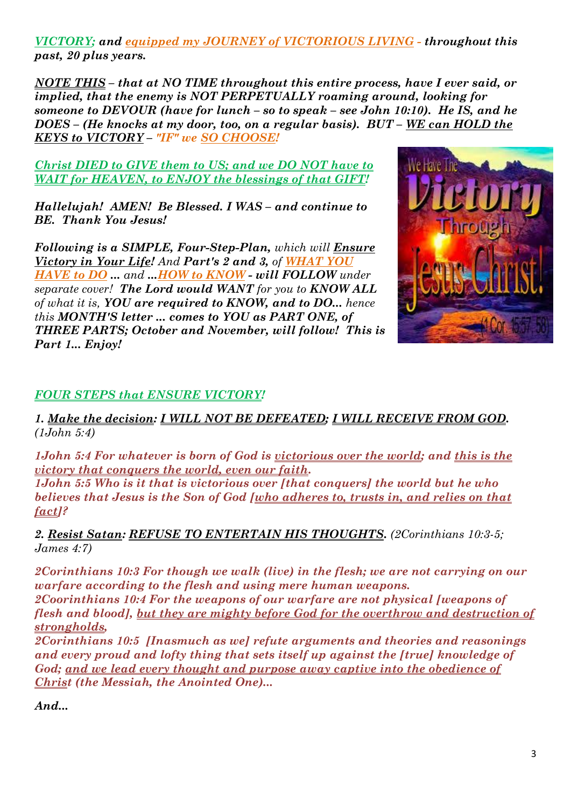*VICTORY; and equipped my JOURNEY of VICTORIOUS LIVING - throughout this past, 20 plus years.* 

*NOTE THIS – that at NO TIME throughout this entire process, have I ever said, or implied, that the enemy is NOT PERPETUALLY roaming around, looking for someone to DEVOUR (have for lunch – so to speak – see John 10:10). He IS, and he DOES – (He knocks at my door, too, on a regular basis). BUT – WE can HOLD the KEYS to VICTORY – "IF" we SO CHOOSE!* 

*Christ DIED to GIVE them to US; and we DO NOT have to WAIT for HEAVEN, to ENJOY the blessings of that GIFT!* 

*Hallelujah! AMEN! Be Blessed. I WAS – and continue to BE. Thank You Jesus!*

*Following is a SIMPLE, Four-Step-Plan, which will Ensure Victory in Your Life! And Part's 2 and 3, of WHAT YOU HAVE to DO ... and ...HOW to KNOW - will FOLLOW under separate cover! The Lord would WANT for you to KNOW ALL of what it is, YOU are required to KNOW, and to DO... hence this MONTH'S letter ... comes to YOU as PART ONE, of THREE PARTS; October and November, will follow! This is Part 1... Enjoy!*



## *FOUR STEPS that ENSURE VICTORY!*

*1. Make the decision: I WILL NOT BE DEFEATED; I WILL RECEIVE FROM GOD. (1John 5:4)*

*1John 5:4 For whatever is born of God is victorious over the world; and this is the victory that conquers the world, even our faith.* 

*1John 5:5 Who is it that is victorious over [that conquers] the world but he who believes that Jesus is the Son of God [who adheres to, trusts in, and relies on that fact]?*

*2. Resist Satan: REFUSE TO ENTERTAIN HIS THOUGHTS. (2Corinthians 10:3-5; James 4:7)*

*2Corinthians 10:3 For though we walk (live) in the flesh; we are not carrying on our warfare according to the flesh and using mere human weapons.* 

*2Coorinthians 10:4 For the weapons of our warfare are not physical [weapons of flesh and blood], but they are mighty before God for the overthrow and destruction of strongholds,* 

*2Corinthians 10:5 [Inasmuch as we] refute arguments and theories and reasonings and every proud and lofty thing that sets itself up against the [true] knowledge of God; and we lead every thought and purpose away captive into the obedience of Christ (the Messiah, the Anointed One)...*

*And...*